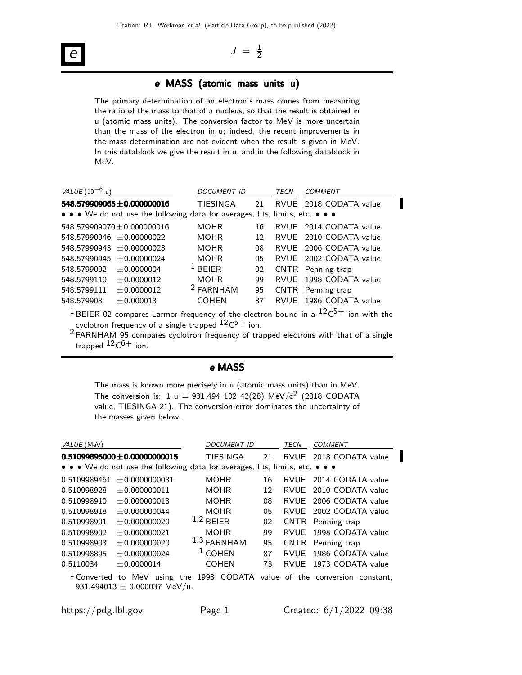# e

#### $J = \frac{1}{2}$ 2

### e MASS (atomic mass units u)

The primary determination of an electron's mass comes from measuring the ratio of the mass to that of a nucleus, so that the result is obtained in u (atomic mass units). The conversion factor to MeV is more uncertain than the mass of the electron in u; indeed, the recent improvements in the mass determination are not evident when the result is given in MeV. In this datablock we give the result in u, and in the following datablock in MeV.

| VALUE $(10^{-6} \text{ u})$ |                                                                               | DOCUMENT ID          |    | TECN | COMMENT                |
|-----------------------------|-------------------------------------------------------------------------------|----------------------|----|------|------------------------|
|                             | 548.579909065±0.000000016                                                     | TIESINGA             | 21 |      | RVUE 2018 CODATA value |
|                             | • • • We do not use the following data for averages, fits, limits, etc. • • • |                      |    |      |                        |
|                             | 548.579909070 $\pm$ 0.000000016                                               | <b>MOHR</b>          | 16 |      | RVUE 2014 CODATA value |
|                             | $548.57990946 + 0.00000022$                                                   | MOHR.                | 12 |      | RVUE 2010 CODATA value |
|                             | $548.57990943 + 0.00000023$                                                   | <b>MOHR</b>          | 08 |      | RVUE 2006 CODATA value |
|                             | $548.57990945 + 0.00000024$                                                   | <b>MOHR</b>          | 05 |      | RVUE 2002 CODATA value |
| 548.5799092                 | ± 0.0000004                                                                   | $^1$ BEIER           | 02 |      | CNTR Penning trap      |
| 548.5799110                 | ±0.0000012                                                                    | <b>MOHR</b>          | 99 |      | RVUE 1998 CODATA value |
| 548.5799111                 | ± 0.0000012                                                                   | <sup>2</sup> FARNHAM | 95 |      | CNTR Penning trap      |
| 548.579903                  | ± 0.000013                                                                    | <b>COHEN</b>         | 87 |      | RVUE 1986 CODATA value |
|                             |                                                                               |                      |    |      |                        |

 $^{\rm 1}$ BEIER 02 compares Larmor frequency of the electron bound in a  $^{\rm 12} \rm C^{5+}$  ion with the cyclotron frequency of a single trapped  $^{12} \rm C^{5+}$  ion.

2 FARNHAM 95 compares cyclotron frequency of trapped electrons with that of a single trapped  $^{12}$ C $^{6+}$  ion.

# e MASS

The mass is known more precisely in u (atomic mass units) than in MeV. The conversion is: 1 u = 931.494 102 42(28) MeV/c<sup>2</sup> (2018 CODATA value, TIESINGA 21). The conversion error dominates the uncertainty of the masses given below.

| VALUE (MeV)  |                                   | <b>DOCUMENT ID</b>                                                            |    | TECN        | <b>COMMENT</b>                                                                        |
|--------------|-----------------------------------|-------------------------------------------------------------------------------|----|-------------|---------------------------------------------------------------------------------------|
|              | $0.51099895000 \pm 0.00000000015$ | TIESINGA                                                                      | 21 |             | RVUE 2018 CODATA value                                                                |
|              |                                   | • • • We do not use the following data for averages, fits, limits, etc. • • • |    |             |                                                                                       |
| 0.5109989461 | $+0.0000000031$                   | <b>MOHR</b>                                                                   | 16 |             | RVUE 2014 CODATA value                                                                |
| 0.510998928  | $+0.000000011$                    | <b>MOHR</b>                                                                   | 12 | RVUF        | 2010 CODATA value                                                                     |
| 0.510998910  | $+0.000000013$                    | <b>MOHR</b>                                                                   | 08 | RVUF        | 2006 CODATA value                                                                     |
| 0.510998918  | $\pm 0.000000044$                 | <b>MOHR</b>                                                                   | 05 |             | RVUE 2002 CODATA value                                                                |
| 0.510998901  | $+0.000000020$                    | $1,2$ BEIER                                                                   | 02 |             | CNTR Penning trap                                                                     |
| 0.510998902  | $+0.000000021$                    | <b>MOHR</b>                                                                   | 99 | RVUF        | 1998 CODATA value                                                                     |
| 0.510998903  | $+0.000000020$                    | $1,3$ FARNHAM                                                                 | 95 |             | CNTR Penning trap                                                                     |
| 0.510998895  | ± 0.000000024                     | $1$ COHEN                                                                     | 87 | <b>RVUF</b> | 1986 CODATA value                                                                     |
| 0.5110034    | $+0.0000014$                      | <b>COHEN</b>                                                                  | 73 | RVUF        | 1973 CODATA value                                                                     |
|              | 931.494013 $\pm$ 0.000037 MeV/u.  |                                                                               |    |             | <sup>1</sup> Converted to MeV using the 1998 CODATA value of the conversion constant, |

П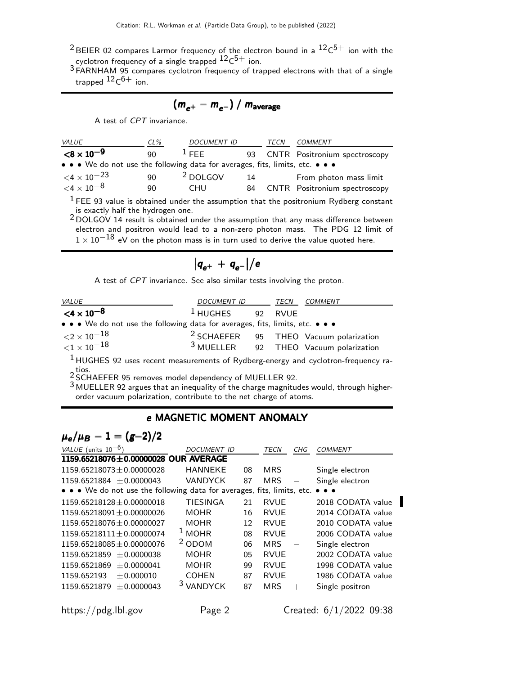- $^2$ BEIER 02 compares Larmor frequency of the electron bound in a  $\mathrm{^{12}C^{5+}}$  ion with the cyclotron frequency of a single trapped  $^{12} \rm C^{5+}$  ion.
- 3 FARNHAM 95 compares cyclotron frequency of trapped electrons with that of a single trapped  $^{12} \mathsf{C}^{6+}$  ion.

$$
(m_{e^+}-m_{e^-})/m_{\text{average}}
$$

A test of CPT invariance.

| <i>VALUE</i>                                                                  | $CL\%$ | <b>DOCUMENT ID</b>  |    | TECN | COMMENT                                                                                          |
|-------------------------------------------------------------------------------|--------|---------------------|----|------|--------------------------------------------------------------------------------------------------|
| $<$ 8 $\times$ 10 $^{-9}$                                                     | 90     | $1$ FFF.            |    |      | 93 CNTR Positronium spectroscopy                                                                 |
| • • • We do not use the following data for averages, fits, limits, etc. • • • |        |                     |    |      |                                                                                                  |
| $\leq 4 \times 10^{-23}$                                                      | 90     | <sup>2</sup> DOLGOV | 14 |      | From photon mass limit                                                                           |
| ${<}4\times10^{-8}$                                                           | 90     | <b>CHU</b>          | 84 |      | <b>CNTR</b> Positronium spectroscopy                                                             |
|                                                                               |        |                     |    |      | $\pm$ FFF 02 value is absoluted via deviation securities that the interference Dudleton constant |

FEE 93 value is obtained under the assumption that the positronium Rydberg constant is exactly half the hydrogen one.

2 DOLGOV 14 result is obtained under the assumption that any mass difference between electron and positron would lead to a non-zero photon mass. The PDG 12 limit of  $1 \times 10^{-18}$  eV on the photon mass is in turn used to derive the value quoted here.

$$
\big|q_{e^+}+q_{e^-}\big|\big/e
$$

A test of CPT invariance. See also similar tests involving the proton.

| <b>VALUE</b>                                                                                                          | DOCUMENT ID | TECN    | COMMENT                                           |
|-----------------------------------------------------------------------------------------------------------------------|-------------|---------|---------------------------------------------------|
| $<$ 4 $\times$ 10 <sup>-8</sup>                                                                                       | $^1$ HUGHES | 92 RVUE |                                                   |
| $\bullet \bullet \bullet$ We do not use the following data for averages, fits, limits, etc. $\bullet \bullet \bullet$ |             |         |                                                   |
| ${<}2\times10^{-18}$                                                                                                  |             |         | <sup>2</sup> SCHAEFER 95 THEO Vacuum polarization |
| ${<}1\times10^{-18}$                                                                                                  |             |         | $3$ MUELLER 92 THEO Vacuum polarization           |
| $1$ HUGHES 92 uses recent measurements of Rydberg-energy and cyclotron-frequency ra-                                  |             |         |                                                   |

2 tios.<br><sup>2</sup> SCHAEFER 95 removes model dependency of MUELLER 92.

3 MUELLER 92 argues that an inequality of the charge magnitudes would, through higherorder vacuum polarization, contribute to the net charge of atoms.

# e MAGNETIC MOMENT ANOMALY

# $\mu_e/\mu_B - 1 = (g-2)/2$

| VALUE (units $10^{-6}$ )                                                | <i>DOCUMENT ID</i> |    | TECN        | CHG    | COMMENT                                                                  |
|-------------------------------------------------------------------------|--------------------|----|-------------|--------|--------------------------------------------------------------------------|
| 1159.65218076±0.00000028 OUR AVERAGE                                    |                    |    |             |        |                                                                          |
| $1159.65218073 \pm 0.00000028$                                          | <b>HANNEKE</b>     | 08 | <b>MRS</b>  |        | Single electron                                                          |
| $1159.6521884 + 0.0000043$                                              | <b>VANDYCK</b>     | 87 | <b>MRS</b>  |        | Single electron                                                          |
| • • • We do not use the following data for averages, fits, limits, etc. |                    |    |             |        | $\bullet\hspace{0.4mm}\bullet\hspace{0.4mm}\bullet\hspace{0.4mm}\bullet$ |
| $1159.65218128 + 0.00000018$                                            | <b>TIESINGA</b>    | 21 | <b>RVUE</b> |        | 2018 CODATA value                                                        |
| $1159.65218091 + 0.00000026$                                            | <b>MOHR</b>        | 16 | RVUF        |        | 2014 CODATA value                                                        |
| $1159.65218076 + 0.00000027$                                            | <b>MOHR</b>        | 12 | <b>RVUE</b> |        | 2010 CODATA value                                                        |
| $1159.65218111 + 0.00000074$                                            | <b>MOHR</b>        | 08 | <b>RVUE</b> |        | 2006 CODATA value                                                        |
| $1159.65218085 + 0.00000076$                                            | $2$ ODOM           | 06 | <b>MRS</b>  |        | Single electron                                                          |
| $1159.6521859 + 0.0000038$                                              | <b>MOHR</b>        | 05 | <b>RVUE</b> |        | 2002 CODATA value                                                        |
| 1159.6521869<br>$+0.0000041$                                            | <b>MOHR</b>        | 99 | <b>RVUF</b> |        | 1998 CODATA value                                                        |
| 1159.652193<br>$+0.000010$                                              | <b>COHEN</b>       | 87 | <b>RVUE</b> |        | 1986 CODATA value                                                        |
| 1159.6521879<br>$+0.0000043$                                            | <b>VANDYCK</b>     | 87 | <b>MRS</b>  | $^{+}$ | Single positron                                                          |
|                                                                         |                    |    |             |        |                                                                          |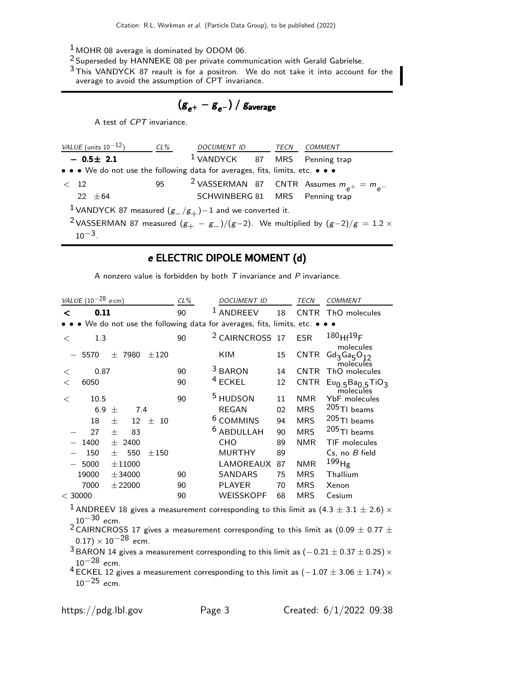- $1$  MOHR 08 average is dominated by ODOM 06.
- 2 Superseded by HANNEKE 08 per private communication with Gerald Gabrielse.
- $3$  This VANDYCK 87 reault is for a positron. We do not take it into account for the average to avoid the assumption of CPT invariance.

$$
(g_{e^+} - g_{e^-}) / g_{\text{average}}
$$

A test of CPT invariance.

| VALUE (units $10^{-12}$ )                                                     | CL% | DOCUMENT ID TECN COMMENT        |  |                                                                                                      |
|-------------------------------------------------------------------------------|-----|---------------------------------|--|------------------------------------------------------------------------------------------------------|
| $-0.5 \pm 2.1$                                                                |     | $1$ VANDYCK 87 MRS Penning trap |  |                                                                                                      |
| • • • We do not use the following data for averages, fits, limits, etc. • • • |     |                                 |  |                                                                                                      |
| < 12                                                                          | 95  |                                 |  | <sup>2</sup> VASSERMAN 87 CNTR Assumes $m_{e^+} = m_{e^-}$                                           |
| $22 + 64$                                                                     |     | SCHWINBERG 81 MRS Penning trap  |  |                                                                                                      |
| <sup>1</sup> VANDYCK 87 measured $(g_-/g_+)$ –1 and we converted it.          |     |                                 |  |                                                                                                      |
|                                                                               |     |                                 |  | <sup>2</sup> VASSERMAN 87 measured $(g_{+} - g_{-})/(g-2)$ . We multiplied by $(g-2)/g = 1.2 \times$ |
| $10^{-3}$                                                                     |     |                                 |  |                                                                                                      |

# e ELECTRIC DIPOLE MOMENT (d)

A nonzero value is forbidden by both  $T$  invariance and  $P$  invariance.

| VALUE $(10^{-28}$ ecm)                                                    | $CL\%$ | <b>DOCUMENT ID</b>         |    | TECN<br><b>COMMENT</b>                             |
|---------------------------------------------------------------------------|--------|----------------------------|----|----------------------------------------------------|
| 0.11<br><                                                                 | 90     | <b>ANDREEV</b>             | 18 | <b>CNTR</b><br>ThO molecules                       |
| • We do not use the following data for averages, fits, limits, etc. • • • |        |                            |    |                                                    |
| 1.3<br>$\,<\,$                                                            | 90     | <sup>2</sup> CAIRNCROSS 17 |    | $180$ Hf <sup>19</sup> F<br><b>ESR</b>             |
| 7980<br>5570<br>$\pm 120$<br>$^{+}$                                       |        | KIM                        | 15 | molecules<br>$Gd_3Ga_5O_{12}$<br>CNTR<br>molecules |
| 0.87<br>$\,<\,$                                                           | 90     | <sup>3</sup> BARON         | 14 | ThO molecules<br><b>CNTR</b>                       |
| 6050<br>$\lt$                                                             | 90     | <sup>4</sup> ECKEL         | 12 | CNTR<br>$Eu0.5Ba0.5TiO3$<br>molecules              |
| 10.5<br>$\,<\,$                                                           | 90     | <sup>5</sup> HUDSON        | 11 | <b>YbF</b> molecules<br><b>NMR</b>                 |
| 6.9<br>7.4<br>士                                                           |        | <b>REGAN</b>               | 02 | 205 TI beams<br><b>MRS</b>                         |
| 18<br>士<br>士<br>12<br>-10                                                 |        | <sup>6</sup> COMMINS       | 94 | $205$ TI beams<br><b>MRS</b>                       |
| 27<br>83<br>士                                                             |        | <b>ABDULLAH</b>            | 90 | $205$ TI beams<br><b>MRS</b>                       |
| 1400<br>士<br>2400                                                         |        | CHO                        | 89 | <b>NMR</b><br>TIF molecules                        |
| 150<br>550<br>$\pm 150$<br>士                                              |        | <b>MURTHY</b>              | 89 | Cs. no B field                                     |
| 5000<br>$\pm 11000$                                                       |        | LAMOREAUX                  | 87 | 199 <sub>Hg</sub><br><b>NMR</b>                    |
| 19000<br>± 34000                                                          | 90     | <b>SANDARS</b>             | 75 | <b>MRS</b><br>Thallium                             |
| 7000<br>± 22000                                                           | 90     | <b>PLAYER</b>              | 70 | <b>MRS</b><br>Xenon                                |
| $<$ 30000                                                                 | 90     | WEISSKOPF                  | 68 | MRS<br>Cesium                                      |

<sup>1</sup> ANDREEV 18 gives a measurement corresponding to this limit as  $(4.3 \pm 3.1 \pm 2.6) \times$  $10^{-30}$  ecm.

 $^2$  CAIRNCROSS 17 gives a measurement corresponding to this limit as (0.09  $\pm$  0.77  $\pm$  $(0.17) \times 10^{-28}$  ecm.

 $3$  BARON 14 gives a measurement corresponding to this limit as  $(-0.21 \pm 0.37 \pm 0.25) \times$  $10^{-28}$  ecm.

 $^4$  ECKEL 12 gives a measurement corresponding to this limit as ( $-1.07\pm3.06\pm1.74)\times$  $10^{-25}$  ecm.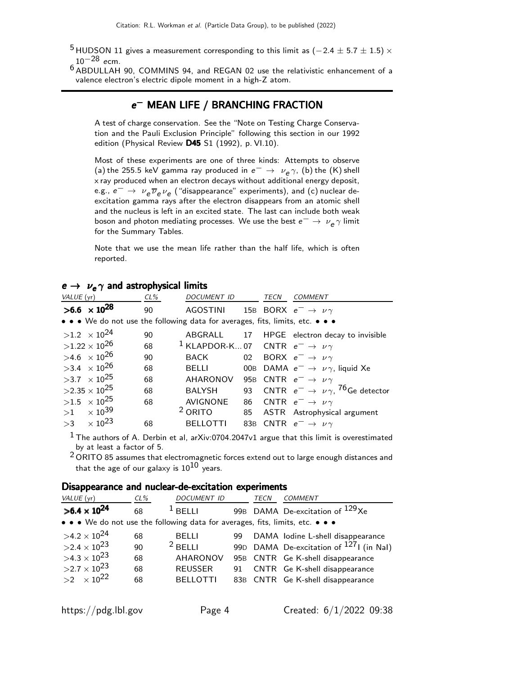- $^5$ HUDSON 11 gives a measurement corresponding to this limit as ( $-2.4\pm5.7\pm1.5)\times$  $10^{-28}$  ecm.
- 6 ABDULLAH 90, COMMINS 94, and REGAN 02 use the relativistic enhancement of a valence electron's electric dipole moment in a high-Z atom.

# e<sup>−</sup> MEAN LIFE / BRANCHING FRACTION

A test of charge conservation. See the "Note on Testing Charge Conservation and the Pauli Exclusion Principle" following this section in our 1992 edition (Physical Review  $D45$  S1 (1992), p. VI.10).

Most of these experiments are one of three kinds: Attempts to observe (a) the 255.5 keV gamma ray produced in  $e^ \rightarrow \nu_e \gamma$ , (b) the (K) shell x ray produced when an electron decays without additional energy deposit, e.g.,  $e^ \rightarrow \nu_e \overline{\nu}_e \nu_e$  ("disappearance" experiments), and (c) nuclear deexcitation gamma rays after the electron disappears from an atomic shell and the nucleus is left in an excited state. The last can include both weak boson and photon mediating processes. We use the best  $e^-\rightarrow\,\nu_{\mathsf{e}}\gamma$  limit for the Summary Tables.

Note that we use the mean life rather than the half life, which is often reported.

#### $e \rightarrow \nu_e \gamma$  and astrophysical limits

| VALUE (yr) |                                | CL% | DOCUMENT ID                                                                   | TECN | <b>COMMENT</b>                                                   |
|------------|--------------------------------|-----|-------------------------------------------------------------------------------|------|------------------------------------------------------------------|
|            | $>6.6 \times 10^{28}$          | 90  | AGOSTINI                                                                      |      | 15B BORX $e^- \rightarrow \nu \gamma$                            |
|            |                                |     | • • • We do not use the following data for averages, fits, limits, etc. • • • |      |                                                                  |
|            | $>1.2 \times 10^{24}$          | 90  |                                                                               |      | ABGRALL 17 HPGE electron decay to invisible                      |
|            | $>1.22\times10^{26}$           | 68  | <sup>1</sup> KLAPDOR-K07 CNTR $e^- \rightarrow \nu \gamma$                    |      |                                                                  |
|            | $>4.6 \times 10^{26}$          | 90  | BACK                                                                          |      | 02 BORX $e^- \rightarrow \nu \gamma$                             |
|            | $>3.4 \times 10^{26}$          | 68  | BELLI                                                                         |      | 00B DAMA $e^- \rightarrow \nu \gamma$ , liquid Xe                |
|            | $>3.7 \times 10^{25}$          | 68  | AHARONOV                                                                      |      | 95B CNTR $e^- \rightarrow \nu \gamma$                            |
|            | $>2.35\times10^{25}$           | 68  | <b>BALYSH</b>                                                                 |      | 93 CNTR $e^- \rightarrow \nu \gamma$ , <sup>76</sup> Ge detector |
|            | $>1.5 \times 10^{25}$          | 68  | <b>AVIGNONE</b>                                                               |      | 86 CNTR $e^- \rightarrow \nu \gamma$                             |
|            | $>1$ $\times$ 10 <sup>39</sup> |     | <sup>2</sup> ORITO                                                            |      | 85 ASTR Astrophysical argument                                   |
|            | $>3$ $\times$ 10 <sup>23</sup> | 68  | <b>BELLOTTI</b>                                                               |      | 83B CNTR $e^- \rightarrow \nu \gamma$                            |

 $1$  The authors of A. Derbin et al, arXiv:0704.2047v1 argue that this limit is overestimated by at least a factor of 5.

 $2$  ORITO 85 assumes that electromagnetic forces extend out to large enough distances and that the age of our galaxy is  $10^{10}$  years.

#### Disappearance and nuclear-de-excitation experiments

| VALUE (yr)                                                                    | $CL\%$ | <b>DOCUMENT ID</b> |    | TECN | <b>COMMENT</b>                                      |
|-------------------------------------------------------------------------------|--------|--------------------|----|------|-----------------------------------------------------|
| $>6.4 \times 10^{24}$                                                         | 68     | $1$ BFI I I        |    |      | 99B DAMA De-excitation of <sup>129</sup> Xe         |
| • • • We do not use the following data for averages, fits, limits, etc. • • • |        |                    |    |      |                                                     |
| $>4.2\times10^{24}$                                                           | 68     | <b>BELLI</b>       | 99 |      | DAMA lodine L-shell disappearance                   |
| $>2.4\times10^{23}$                                                           | 90     | $2$ BFI I I        |    |      | 99D DAMA De-excitation of <sup>127</sup> I (in NaI) |
| $>4.3\times10^{23}$                                                           | 68     | <b>AHARONOV</b>    |    |      | 95B CNTR Ge K-shell disappearance                   |
| $>2.7\times10^{23}$                                                           | 68     | <b>REUSSER</b>     | 91 |      | CNTR Ge K-shell disappearance                       |
| $>2 \times 10^{22}$                                                           | 68     | <b>BELLOTTI</b>    |    |      | 83B CNTR Ge K-shell disappearance                   |
|                                                                               |        |                    |    |      |                                                     |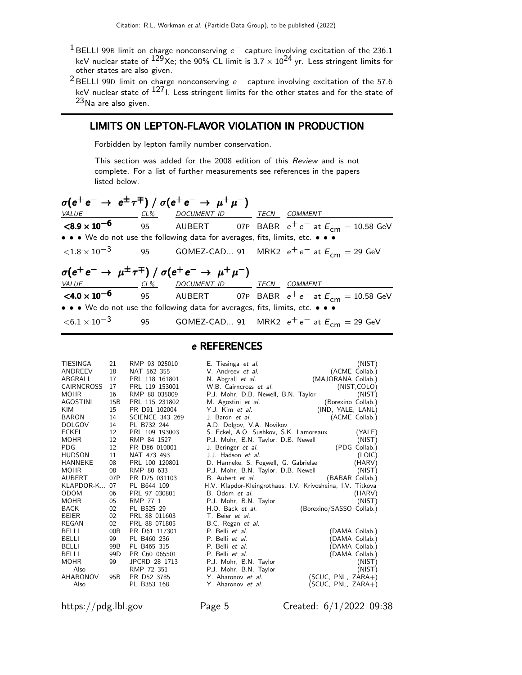- $1$  BELLI 99B limit on charge nonconserving  $e^-$  capture involving excitation of the 236.1 keV nuclear state of  $129x$ e; the 90% CL limit is  $3.7 \times 10^{24}$  yr. Less stringent limits for other states are also given.
- 2 BELLI 99<sup>D</sup> limit on charge nonconserving e− capture involving excitation of the 57.6 keV nuclear state of <sup>127</sup>I. Less stringent limits for the other states and for the state of 23Na are also given.

## LIMITS ON LEPTON-FLAVOR VIOLATION IN PRODUCTION

Forbidden by lepton family number conservation.

This section was added for the 2008 edition of this Review and is not complete. For a list of further measurements see references in the papers listed below.

| $\sigma(e^+e^- \to e^{\pm}\tau^{\mp})$ / $\sigma(e^+e^- \to \mu^+\mu^-)$      |  |  |  |  |                                                                                                 |  |  |  |
|-------------------------------------------------------------------------------|--|--|--|--|-------------------------------------------------------------------------------------------------|--|--|--|
| VALUE CL% DOCUMENT ID TECN COMMENT                                            |  |  |  |  |                                                                                                 |  |  |  |
|                                                                               |  |  |  |  | <b><math>\leq 8.9 \times 10^{-6}</math></b> 95 AUBERT 07P BABR $e^+e^-$ at $E_{cm} = 10.58$ GeV |  |  |  |
| • • • We do not use the following data for averages, fits, limits, etc. • • • |  |  |  |  |                                                                                                 |  |  |  |
|                                                                               |  |  |  |  | $\langle 1.8 \times 10^{-3} \rangle$ 95 GOMEZ-CAD 91 MRK2 $e^+e^-$ at $E_{cm} = 29$ GeV         |  |  |  |
| $\sigma(e^+e^- \to \mu^{\pm}\tau^{\mp})$ / $\sigma(e^+e^- \to \mu^+\mu^-)$    |  |  |  |  |                                                                                                 |  |  |  |
| VALUE CL% DOCUMENT ID TECN COMMENT                                            |  |  |  |  |                                                                                                 |  |  |  |
|                                                                               |  |  |  |  | <b>&lt;4.0 x 10<sup>-6</sup></b> 95 AUBERT 07P BABR $e^+e^-$ at $E_{cm} = 10.58$ GeV            |  |  |  |
| • • • We do not use the following data for averages, fits, limits, etc. • • • |  |  |  |  |                                                                                                 |  |  |  |
|                                                                               |  |  |  |  | $\langle 6.1 \times 10^{-3} \rangle$ 95 GOMEZ-CAD 91 MRK2 $e^+e^-$ at $E_{cm} = 29$ GeV         |  |  |  |

| TIESINGA     | 21              | RMP 93 025010          | E. Tiesinga et al.                     | (NIST)                                                     |
|--------------|-----------------|------------------------|----------------------------------------|------------------------------------------------------------|
| ANDREEV      | 18              | NAT 562 355            | V. Andreev et al.                      | (ACME Collab.)                                             |
| ABGRALL      | 17              | PRL 118 161801         | N. Abgrall et al.                      | (MAJORANA Collab.)                                         |
| CAIRNCROSS   | 17              | PRL 119 153001         | W.B. Cairncross et al.                 | (NIST, COLO)                                               |
| MOHR         | 16              | RMP 88 035009          | P.J. Mohr, D.B. Newell, B.N. Taylor    | (NIST)                                                     |
| AGOSTINI     | 15B             | PRL 115 231802         | M. Agostini et al.                     | (Borexino Collab.)                                         |
| KIM          | 15              | PR D91 102004          | Y.J. Kim et al.                        | (IND, YALE, LANL)                                          |
| BARON        | 14              | <b>SCIENCE 343 269</b> | J. Baron et al.                        | (ACME Collab.)                                             |
| DOLGOV       | 14              | PL B732 244            | A.D. Dolgov, V.A. Novikov              |                                                            |
| ECKEL        | 12              | PRL 109 193003         | S. Eckel, A.O. Sushkov, S.K. Lamoreaux | (YALE)                                                     |
| MOHR         | 12              | RMP 84 1527            | P.J. Mohr, B.N. Taylor, D.B. Newell    | (NIST)                                                     |
| PDG          | 12              | PR D86 010001          | J. Beringer et al.                     | (PDG Collab.)                                              |
| HUDSON       | 11              | NAT 473 493            | J.J. Hadson et al.                     | (LOIC)                                                     |
| HANNEKE      | 08              | PRL 100 120801         | D. Hanneke, S. Fogwell, G. Gabrielse   | (HARV)                                                     |
| MOHR         | 08              | RMP 80 633             | P.J. Mohr, B.N. Taylor, D.B. Newell    | (NIST)                                                     |
| AUBERT       | 07P             | PR D75 031103          | B. Aubert <i>et al.</i>                | (BABAR Collab.)                                            |
| KLAPDOR-K    | 07              | PL B644 109            |                                        | H.V. Klapdor-Kleingrothaus, I.V. Krivosheina, I.V. Titkova |
| ODOM         | 06              | PRL 97 030801          | B. Odom et al.                         | (HARV)                                                     |
| MOHR         | 05              | RMP 77 1               | P.J. Mohr, B.N. Taylor                 | (NIST)                                                     |
| BACK         | 02              | PL B525 29             | H.O. Back et al.                       | (Borexino/SASSO Collab.)                                   |
| <b>BEIER</b> | 02              | PRL 88 011603          | T. Beier et al.                        |                                                            |
| REGAN        | 02              | PRL 88 071805          | B.C. Regan et al.                      |                                                            |
| BELLI        | 00B             | PR D61 117301          | P. Belli <i>et al.</i>                 | (DAMA Collab.)                                             |
| BELLI        | 99              | PL B460 236            | P. Belli et al.                        | (DAMA Collab.)                                             |
| BELLI        | 99 <sub>B</sub> | PL B465 315            | P. Belli et al.                        | (DAMA Collab.)                                             |
| BELLI        | 99 <sub>D</sub> | PR C60 065501          | P. Belli et al.                        | (DAMA Collab.)                                             |
| MOHR         | 99              | JPCRD 28 1713          | P.J. Mohr, B.N. Taylor                 | (NIST)                                                     |
| Also         |                 | RMP 72 351             | P.J. Mohr, B.N. Taylor                 | (NIST)                                                     |
| AHARONOV     | 95 <sub>B</sub> | PR D52 3785            | Y. Aharonov et al.                     | (SCUC, PNL, ZARA+)                                         |
| Also         |                 | PL B353 168            | Y. Aharonov et al.                     | $(SCUC, PNL, ZARA+)$                                       |
|              |                 |                        |                                        |                                                            |

e REFERENCES

https://pdg.lbl.gov Page 5 Created: 6/1/2022 09:38